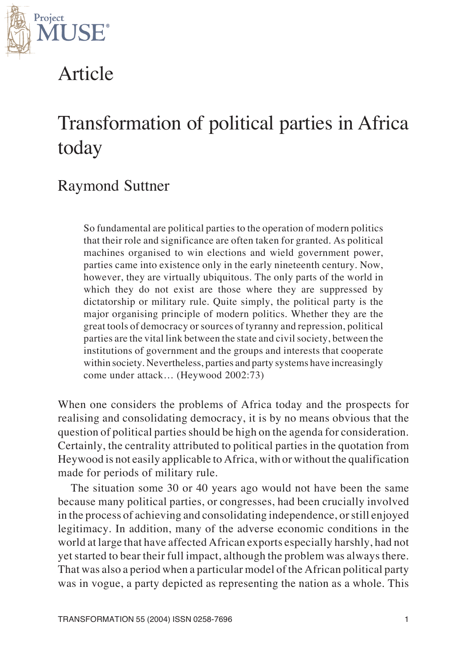

## Article

# Transformation of political parties in Africa today

## Raymond Suttner

So fundamental are political parties to the operation of modern politics that their role and significance are often taken for granted. As political machines organised to win elections and wield government power, parties came into existence only in the early nineteenth century. Now, however, they are virtually ubiquitous. The only parts of the world in which they do not exist are those where they are suppressed by dictatorship or military rule. Quite simply, the political party is the major organising principle of modern politics. Whether they are the great tools of democracy or sources of tyranny and repression, political parties are the vital link between the state and civil society, between the institutions of government and the groups and interests that cooperate within society. Nevertheless, parties and party systems have increasingly come under attack... (Heywood 2002:73)

When one considers the problems of Africa today and the prospects for realising and consolidating democracy, it is by no means obvious that the question of political parties should be high on the agenda for consideration. Certainly, the centrality attributed to political parties in the quotation from Heywood is not easily applicable to Africa, with or without the qualification made for periods of military rule.

The situation some 30 or 40 years ago would not have been the same because many political parties, or congresses, had been crucially involved in the process of achieving and consolidating independence, or still enjoyed legitimacy. In addition, many of the adverse economic conditions in the world at large that have affected African exports especially harshly, had not yet started to bear their full impact, although the problem was always there. That was also a period when a particular model of the African political party was in vogue, a party depicted as representing the nation as a whole. This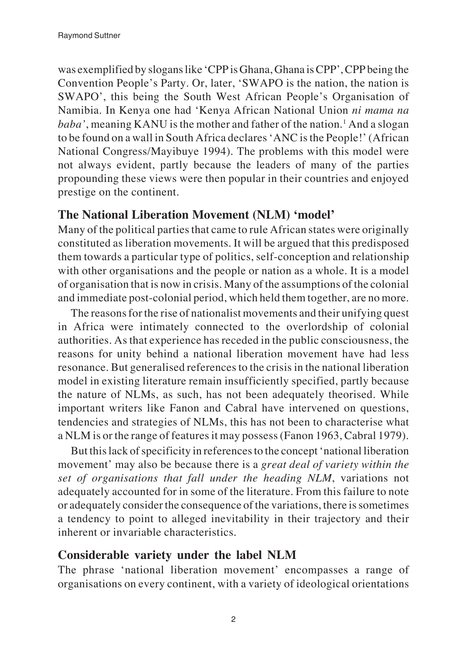was exemplified by slogans like 'CPP is Ghana, Ghana is CPP', CPP being the Convention People's Party. Or, later, 'SWAPO is the nation, the nation is SWAPO', this being the South West African People's Organisation of Namibia. In Kenya one had ëKenya African National Union *ni mama na* baba', meaning KANU is the mother and father of the nation.<sup>1</sup> And a slogan to be found on a wall in South Africa declares 'ANC is the People!' (African National Congress/Mayibuye 1994). The problems with this model were not always evident, partly because the leaders of many of the parties propounding these views were then popular in their countries and enjoyed prestige on the continent.

## The National Liberation Movement (NLM) 'model'

Many of the political parties that came to rule African states were originally constituted as liberation movements. It will be argued that this predisposed them towards a particular type of politics, self-conception and relationship with other organisations and the people or nation as a whole. It is a model of organisation that is now in crisis. Many of the assumptions of the colonial and immediate post-colonial period, which held them together, are no more.

The reasons for the rise of nationalist movements and their unifying quest in Africa were intimately connected to the overlordship of colonial authorities. As that experience has receded in the public consciousness, the reasons for unity behind a national liberation movement have had less resonance. But generalised references to the crisis in the national liberation model in existing literature remain insufficiently specified, partly because the nature of NLMs, as such, has not been adequately theorised. While important writers like Fanon and Cabral have intervened on questions, tendencies and strategies of NLMs, this has not been to characterise what a NLM is or the range of features it may possess (Fanon 1963, Cabral 1979).

But this lack of specificity in references to the concept 'national liberation movement' may also be because there is a *great deal of variety within the set of organisations that fall under the heading NLM*, variations not adequately accounted for in some of the literature. From this failure to note or adequately consider the consequence of the variations, there is sometimes a tendency to point to alleged inevitability in their trajectory and their inherent or invariable characteristics.

## **Considerable variety under the label NLM**

The phrase 'national liberation movement' encompasses a range of organisations on every continent, with a variety of ideological orientations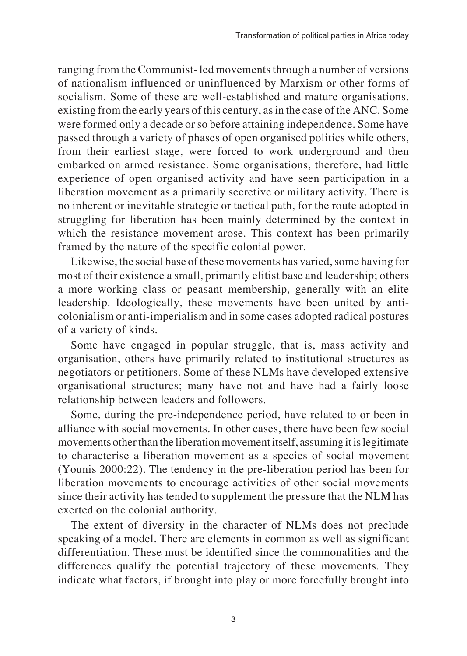ranging from the Communist- led movements through a number of versions of nationalism influenced or uninfluenced by Marxism or other forms of socialism. Some of these are well-established and mature organisations, existing from the early years of this century, as in the case of the ANC. Some were formed only a decade or so before attaining independence. Some have passed through a variety of phases of open organised politics while others, from their earliest stage, were forced to work underground and then embarked on armed resistance. Some organisations, therefore, had little experience of open organised activity and have seen participation in a liberation movement as a primarily secretive or military activity. There is no inherent or inevitable strategic or tactical path, for the route adopted in struggling for liberation has been mainly determined by the context in which the resistance movement arose. This context has been primarily framed by the nature of the specific colonial power.

Likewise, the social base of these movements has varied, some having for most of their existence a small, primarily elitist base and leadership; others a more working class or peasant membership, generally with an elite leadership. Ideologically, these movements have been united by anticolonialism or anti-imperialism and in some cases adopted radical postures of a variety of kinds.

Some have engaged in popular struggle, that is, mass activity and organisation, others have primarily related to institutional structures as negotiators or petitioners. Some of these NLMs have developed extensive organisational structures; many have not and have had a fairly loose relationship between leaders and followers.

Some, during the pre-independence period, have related to or been in alliance with social movements. In other cases, there have been few social movements other than the liberation movement itself, assuming it is legitimate to characterise a liberation movement as a species of social movement (Younis 2000:22). The tendency in the pre-liberation period has been for liberation movements to encourage activities of other social movements since their activity has tended to supplement the pressure that the NLM has exerted on the colonial authority.

The extent of diversity in the character of NLMs does not preclude speaking of a model. There are elements in common as well as significant differentiation. These must be identified since the commonalities and the differences qualify the potential trajectory of these movements. They indicate what factors, if brought into play or more forcefully brought into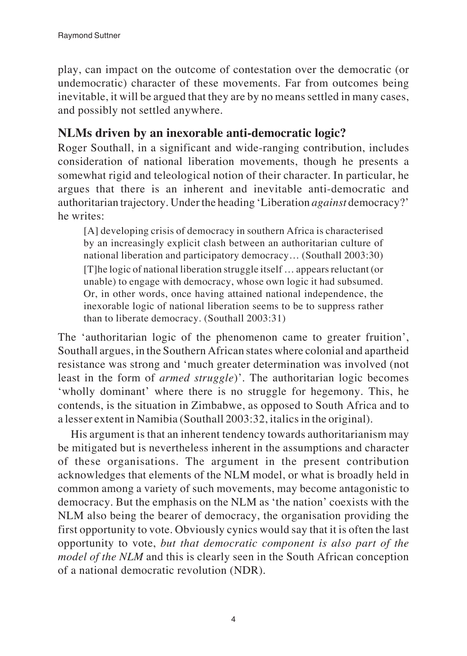play, can impact on the outcome of contestation over the democratic (or undemocratic) character of these movements. Far from outcomes being inevitable, it will be argued that they are by no means settled in many cases, and possibly not settled anywhere.

## **NLMs driven by an inexorable anti-democratic logic?**

Roger Southall, in a significant and wide-ranging contribution, includes consideration of national liberation movements, though he presents a somewhat rigid and teleological notion of their character. In particular, he argues that there is an inherent and inevitable anti-democratic and authoritarian trajectory. Under the heading 'Liberation *against* democracy?' he writes:

[A] developing crisis of democracy in southern Africa is characterised by an increasingly explicit clash between an authoritarian culture of national liberation and participatory democracy... (Southall 2003:30)  $[T]$ he logic of national liberation struggle itself  $\ldots$  appears reluctant (or unable) to engage with democracy, whose own logic it had subsumed. Or, in other words, once having attained national independence, the inexorable logic of national liberation seems to be to suppress rather than to liberate democracy. (Southall 2003:31)

The 'authoritarian logic of the phenomenon came to greater fruition', Southall argues, in the Southern African states where colonial and apartheid resistance was strong and 'much greater determination was involved (not least in the form of *armed struggle*)'. The authoritarian logic becomes 'wholly dominant' where there is no struggle for hegemony. This, he contends, is the situation in Zimbabwe, as opposed to South Africa and to a lesser extent in Namibia (Southall 2003:32, italics in the original).

His argument is that an inherent tendency towards authoritarianism may be mitigated but is nevertheless inherent in the assumptions and character of these organisations. The argument in the present contribution acknowledges that elements of the NLM model, or what is broadly held in common among a variety of such movements, may become antagonistic to democracy. But the emphasis on the NLM as 'the nation' coexists with the NLM also being the bearer of democracy, the organisation providing the first opportunity to vote. Obviously cynics would say that it is often the last opportunity to vote, *but that democratic component is also part of the model of the NLM* and this is clearly seen in the South African conception of a national democratic revolution (NDR).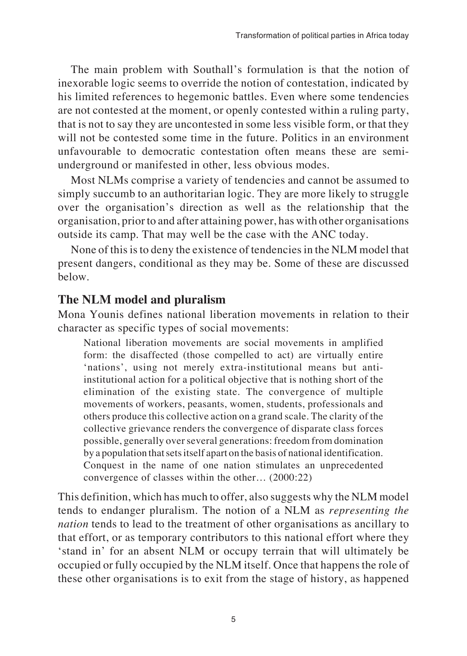The main problem with Southall's formulation is that the notion of inexorable logic seems to override the notion of contestation, indicated by his limited references to hegemonic battles. Even where some tendencies are not contested at the moment, or openly contested within a ruling party, that is not to say they are uncontested in some less visible form, or that they will not be contested some time in the future. Politics in an environment unfavourable to democratic contestation often means these are semiunderground or manifested in other, less obvious modes.

Most NLMs comprise a variety of tendencies and cannot be assumed to simply succumb to an authoritarian logic. They are more likely to struggle over the organisation's direction as well as the relationship that the organisation, prior to and after attaining power, has with other organisations outside its camp. That may well be the case with the ANC today.

None of this is to deny the existence of tendencies in the NLM model that present dangers, conditional as they may be. Some of these are discussed below.

## **The NLM model and pluralism**

Mona Younis defines national liberation movements in relation to their character as specific types of social movements:

National liberation movements are social movements in amplified form: the disaffected (those compelled to act) are virtually entire 'nations', using not merely extra-institutional means but antiinstitutional action for a political objective that is nothing short of the elimination of the existing state. The convergence of multiple movements of workers, peasants, women, students, professionals and others produce this collective action on a grand scale. The clarity of the collective grievance renders the convergence of disparate class forces possible, generally over several generations: freedom from domination by a population that sets itself apart on the basis of national identification. Conquest in the name of one nation stimulates an unprecedented convergence of classes within the other $\ldots$  (2000:22)

This definition, which has much to offer, also suggests why the NLM model tends to endanger pluralism. The notion of a NLM as *representing the nation* tends to lead to the treatment of other organisations as ancillary to that effort, or as temporary contributors to this national effort where they 'stand in' for an absent NLM or occupy terrain that will ultimately be occupied or fully occupied by the NLM itself. Once that happens the role of these other organisations is to exit from the stage of history, as happened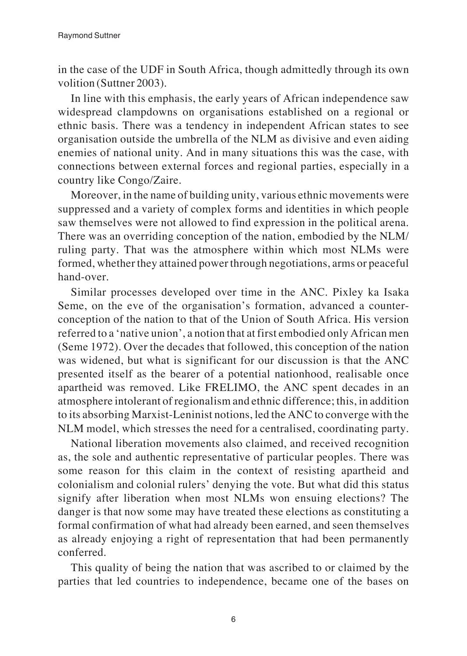in the case of the UDF in South Africa, though admittedly through its own volition (Suttner 2003).

In line with this emphasis, the early years of African independence saw widespread clampdowns on organisations established on a regional or ethnic basis. There was a tendency in independent African states to see organisation outside the umbrella of the NLM as divisive and even aiding enemies of national unity. And in many situations this was the case, with connections between external forces and regional parties, especially in a country like Congo/Zaire.

Moreover, in the name of building unity, various ethnic movements were suppressed and a variety of complex forms and identities in which people saw themselves were not allowed to find expression in the political arena. There was an overriding conception of the nation, embodied by the NLM/ ruling party. That was the atmosphere within which most NLMs were formed, whether they attained power through negotiations, arms or peaceful hand-over.

Similar processes developed over time in the ANC. Pixley ka Isaka Seme, on the eve of the organisation's formation, advanced a counterconception of the nation to that of the Union of South Africa. His version referred to a 'native union', a notion that at first embodied only African men (Seme 1972). Over the decades that followed, this conception of the nation was widened, but what is significant for our discussion is that the ANC presented itself as the bearer of a potential nationhood, realisable once apartheid was removed. Like FRELIMO, the ANC spent decades in an atmosphere intolerant of regionalism and ethnic difference; this, in addition to its absorbing Marxist-Leninist notions, led the ANC to converge with the NLM model, which stresses the need for a centralised, coordinating party.

National liberation movements also claimed, and received recognition as, the sole and authentic representative of particular peoples. There was some reason for this claim in the context of resisting apartheid and colonialism and colonial rulers' denying the vote. But what did this status signify after liberation when most NLMs won ensuing elections? The danger is that now some may have treated these elections as constituting a formal confirmation of what had already been earned, and seen themselves as already enjoying a right of representation that had been permanently conferred.

This quality of being the nation that was ascribed to or claimed by the parties that led countries to independence, became one of the bases on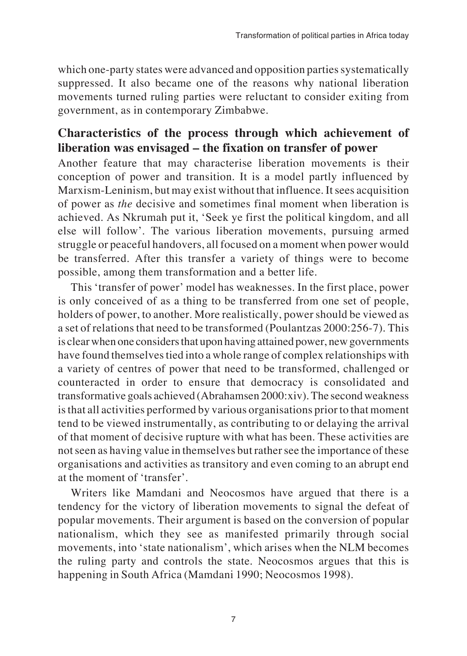which one-party states were advanced and opposition parties systematically suppressed. It also became one of the reasons why national liberation movements turned ruling parties were reluctant to consider exiting from government, as in contemporary Zimbabwe.

## **Characteristics of the process through which achievement of** liberation was envisaged – the fixation on transfer of power

Another feature that may characterise liberation movements is their conception of power and transition. It is a model partly influenced by Marxism-Leninism, but may exist without that influence. It sees acquisition of power as *the* decisive and sometimes final moment when liberation is achieved. As Nkrumah put it, 'Seek ye first the political kingdom, and all else will follow'. The various liberation movements, pursuing armed struggle or peaceful handovers, all focused on a moment when power would be transferred. After this transfer a variety of things were to become possible, among them transformation and a better life.

This 'transfer of power' model has weaknesses. In the first place, power is only conceived of as a thing to be transferred from one set of people, holders of power, to another. More realistically, power should be viewed as a set of relations that need to be transformed (Poulantzas 2000:256-7). This is clear when one considers that upon having attained power, new governments have found themselves tied into a whole range of complex relationships with a variety of centres of power that need to be transformed, challenged or counteracted in order to ensure that democracy is consolidated and transformative goals achieved (Abrahamsen 2000:xiv). The second weakness is that all activities performed by various organisations prior to that moment tend to be viewed instrumentally, as contributing to or delaying the arrival of that moment of decisive rupture with what has been. These activities are not seen as having value in themselves but rather see the importance of these organisations and activities as transitory and even coming to an abrupt end at the moment of 'transfer'.

Writers like Mamdani and Neocosmos have argued that there is a tendency for the victory of liberation movements to signal the defeat of popular movements. Their argument is based on the conversion of popular nationalism, which they see as manifested primarily through social movements, into 'state nationalism', which arises when the NLM becomes the ruling party and controls the state. Neocosmos argues that this is happening in South Africa (Mamdani 1990; Neocosmos 1998).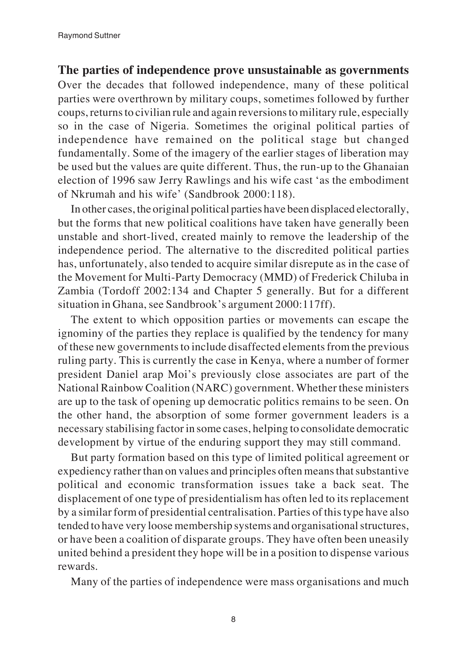**The parties of independence prove unsustainable as governments** Over the decades that followed independence, many of these political parties were overthrown by military coups, sometimes followed by further coups, returns to civilian rule and again reversions to military rule, especially so in the case of Nigeria. Sometimes the original political parties of independence have remained on the political stage but changed fundamentally. Some of the imagery of the earlier stages of liberation may be used but the values are quite different. Thus, the run-up to the Ghanaian election of 1996 saw Jerry Rawlings and his wife cast 'as the embodiment of Nkrumah and his wife' (Sandbrook 2000:118).

In other cases, the original political parties have been displaced electorally, but the forms that new political coalitions have taken have generally been unstable and short-lived, created mainly to remove the leadership of the independence period. The alternative to the discredited political parties has, unfortunately, also tended to acquire similar disrepute as in the case of the Movement for Multi-Party Democracy (MMD) of Frederick Chiluba in Zambia (Tordoff 2002:134 and Chapter 5 generally. But for a different situation in Ghana, see Sandbrook's argument 2000:117ff).

The extent to which opposition parties or movements can escape the ignominy of the parties they replace is qualified by the tendency for many of these new governments to include disaffected elements from the previous ruling party. This is currently the case in Kenya, where a number of former president Daniel arap Moi's previously close associates are part of the National Rainbow Coalition (NARC) government. Whether these ministers are up to the task of opening up democratic politics remains to be seen. On the other hand, the absorption of some former government leaders is a necessary stabilising factor in some cases, helping to consolidate democratic development by virtue of the enduring support they may still command.

But party formation based on this type of limited political agreement or expediency rather than on values and principles often means that substantive political and economic transformation issues take a back seat. The displacement of one type of presidentialism has often led to its replacement by a similar form of presidential centralisation. Parties of this type have also tended to have very loose membership systems and organisational structures, or have been a coalition of disparate groups. They have often been uneasily united behind a president they hope will be in a position to dispense various rewards.

Many of the parties of independence were mass organisations and much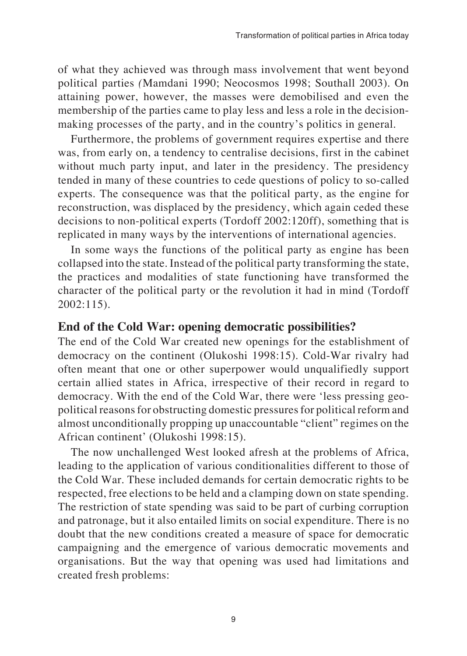of what they achieved was through mass involvement that went beyond political parties *(*Mamdani 1990; Neocosmos 1998; Southall 2003). On attaining power, however, the masses were demobilised and even the membership of the parties came to play less and less a role in the decisionmaking processes of the party, and in the country's politics in general.

Furthermore, the problems of government requires expertise and there was, from early on, a tendency to centralise decisions, first in the cabinet without much party input, and later in the presidency. The presidency tended in many of these countries to cede questions of policy to so-called experts. The consequence was that the political party, as the engine for reconstruction, was displaced by the presidency, which again ceded these decisions to non-political experts (Tordoff 2002:120ff), something that is replicated in many ways by the interventions of international agencies.

In some ways the functions of the political party as engine has been collapsed into the state. Instead of the political party transforming the state, the practices and modalities of state functioning have transformed the character of the political party or the revolution it had in mind (Tordoff 2002:115).

#### **End of the Cold War: opening democratic possibilities?**

The end of the Cold War created new openings for the establishment of democracy on the continent (Olukoshi 1998:15). Cold-War rivalry had often meant that one or other superpower would unqualifiedly support certain allied states in Africa, irrespective of their record in regard to democracy. With the end of the Cold War, there were 'less pressing geopolitical reasons for obstructing domestic pressures for political reform and almost unconditionally propping up unaccountable "client" regimes on the African continent' (Olukoshi 1998:15).

The now unchallenged West looked afresh at the problems of Africa, leading to the application of various conditionalities different to those of the Cold War. These included demands for certain democratic rights to be respected, free elections to be held and a clamping down on state spending. The restriction of state spending was said to be part of curbing corruption and patronage, but it also entailed limits on social expenditure. There is no doubt that the new conditions created a measure of space for democratic campaigning and the emergence of various democratic movements and organisations. But the way that opening was used had limitations and created fresh problems: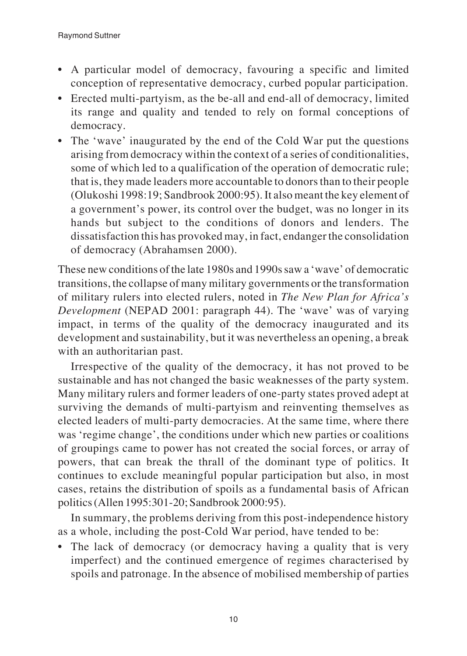- A particular model of democracy, favouring a specific and limited conception of representative democracy, curbed popular participation.
- Erected multi-partyism, as the be-all and end-all of democracy, limited its range and quality and tended to rely on formal conceptions of democracy.
- The 'wave' inaugurated by the end of the Cold War put the questions arising from democracy within the context of a series of conditionalities, some of which led to a qualification of the operation of democratic rule; that is, they made leaders more accountable to donors than to their people (Olukoshi 1998:19; Sandbrook 2000:95). It also meant the key element of a government's power, its control over the budget, was no longer in its hands but subject to the conditions of donors and lenders. The dissatisfaction this has provoked may, in fact, endanger the consolidation of democracy (Abrahamsen 2000).

These new conditions of the late 1980s and 1990s saw a 'wave' of democratic transitions, the collapse of many military governments or the transformation of military rulers into elected rulers, noted in *The New Plan for Africaís Development* (NEPAD 2001: paragraph 44). The 'wave' was of varying impact, in terms of the quality of the democracy inaugurated and its development and sustainability, but it was nevertheless an opening, a break with an authoritarian past.

Irrespective of the quality of the democracy, it has not proved to be sustainable and has not changed the basic weaknesses of the party system. Many military rulers and former leaders of one-party states proved adept at surviving the demands of multi-partyism and reinventing themselves as elected leaders of multi-party democracies. At the same time, where there was 'regime change', the conditions under which new parties or coalitions of groupings came to power has not created the social forces, or array of powers, that can break the thrall of the dominant type of politics. It continues to exclude meaningful popular participation but also, in most cases, retains the distribution of spoils as a fundamental basis of African politics (Allen 1995:301-20; Sandbrook 2000:95).

In summary, the problems deriving from this post-independence history as a whole, including the post-Cold War period, have tended to be:

• The lack of democracy (or democracy having a quality that is very imperfect) and the continued emergence of regimes characterised by spoils and patronage. In the absence of mobilised membership of parties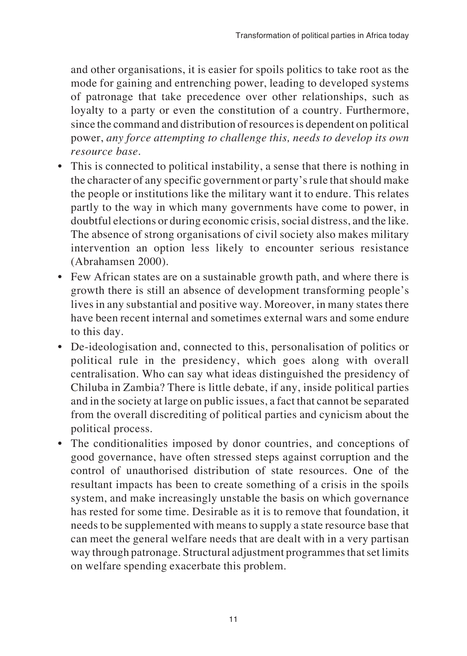and other organisations, it is easier for spoils politics to take root as the mode for gaining and entrenching power, leading to developed systems of patronage that take precedence over other relationships, such as loyalty to a party or even the constitution of a country. Furthermore, since the command and distribution of resources is dependent on political power, *any force attempting to challenge this, needs to develop its own resource base.*

- This is connected to political instability, a sense that there is nothing in the character of any specific government or party's rule that should make the people or institutions like the military want it to endure. This relates partly to the way in which many governments have come to power, in doubtful elections or during economic crisis, social distress, and the like. The absence of strong organisations of civil society also makes military intervention an option less likely to encounter serious resistance (Abrahamsen 2000).
- Few African states are on a sustainable growth path, and where there is growth there is still an absence of development transforming people's lives in any substantial and positive way. Moreover, in many states there have been recent internal and sometimes external wars and some endure to this day.
- De-ideologisation and, connected to this, personalisation of politics or political rule in the presidency, which goes along with overall centralisation. Who can say what ideas distinguished the presidency of Chiluba in Zambia? There is little debate, if any, inside political parties and in the society at large on public issues, a fact that cannot be separated from the overall discrediting of political parties and cynicism about the political process.
- The conditionalities imposed by donor countries, and conceptions of good governance, have often stressed steps against corruption and the control of unauthorised distribution of state resources. One of the resultant impacts has been to create something of a crisis in the spoils system, and make increasingly unstable the basis on which governance has rested for some time. Desirable as it is to remove that foundation, it needs to be supplemented with means to supply a state resource base that can meet the general welfare needs that are dealt with in a very partisan way through patronage. Structural adjustment programmes that set limits on welfare spending exacerbate this problem.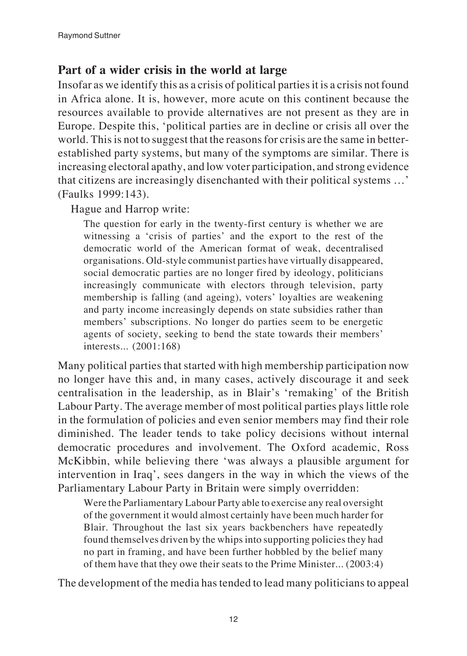## **Part of a wider crisis in the world at large**

Insofar as we identify this as a crisis of political parties it is a crisis not found in Africa alone. It is, however, more acute on this continent because the resources available to provide alternatives are not present as they are in Europe. Despite this, ëpolitical parties are in decline or crisis all over the world. This is not to suggest that the reasons for crisis are the same in betterestablished party systems, but many of the symptoms are similar. There is increasing electoral apathy, and low voter participation, and strong evidence that citizens are increasingly disenchanted with their political systems ...' (Faulks 1999:143).

Hague and Harrop write:

The question for early in the twenty-first century is whether we are witnessing a 'crisis of parties' and the export to the rest of the democratic world of the American format of weak, decentralised organisations. Old-style communist parties have virtually disappeared, social democratic parties are no longer fired by ideology, politicians increasingly communicate with electors through television, party membership is falling (and ageing), voters' loyalties are weakening and party income increasingly depends on state subsidies rather than members' subscriptions. No longer do parties seem to be energetic agents of society, seeking to bend the state towards their members' interests... (2001:168)

Many political parties that started with high membership participation now no longer have this and, in many cases, actively discourage it and seek centralisation in the leadership, as in Blair's 'remaking' of the British Labour Party. The average member of most political parties plays little role in the formulation of policies and even senior members may find their role diminished. The leader tends to take policy decisions without internal democratic procedures and involvement. The Oxford academic, Ross McKibbin, while believing there ëwas always a plausible argument for intervention in Iraq<sup>'</sup>, sees dangers in the way in which the views of the Parliamentary Labour Party in Britain were simply overridden:

Were the Parliamentary Labour Party able to exercise any real oversight of the government it would almost certainly have been much harder for Blair. Throughout the last six years backbenchers have repeatedly found themselves driven by the whips into supporting policies they had no part in framing, and have been further hobbled by the belief many of them have that they owe their seats to the Prime Minister... (2003:4)

The development of the media has tended to lead many politicians to appeal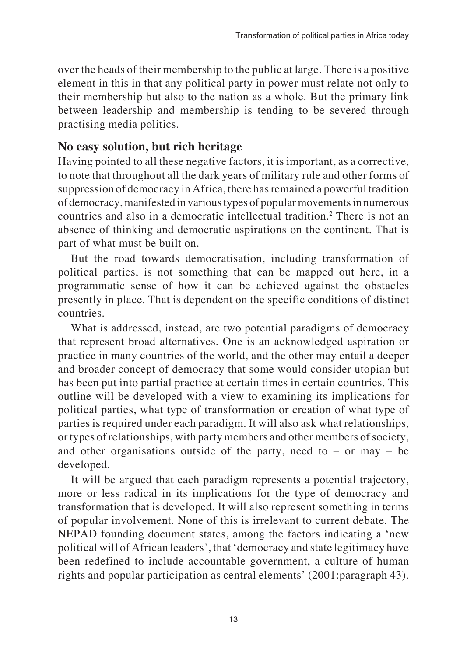over the heads of their membership to the public at large. There is a positive element in this in that any political party in power must relate not only to their membership but also to the nation as a whole. But the primary link between leadership and membership is tending to be severed through practising media politics.

#### **No easy solution, but rich heritage**

Having pointed to all these negative factors, it is important, as a corrective, to note that throughout all the dark years of military rule and other forms of suppression of democracy in Africa, there has remained a powerful tradition of democracy, manifested in various types of popular movements in numerous countries and also in a democratic intellectual tradition.<sup>2</sup> There is not an absence of thinking and democratic aspirations on the continent. That is part of what must be built on.

But the road towards democratisation, including transformation of political parties, is not something that can be mapped out here, in a programmatic sense of how it can be achieved against the obstacles presently in place. That is dependent on the specific conditions of distinct countries.

What is addressed, instead, are two potential paradigms of democracy that represent broad alternatives. One is an acknowledged aspiration or practice in many countries of the world, and the other may entail a deeper and broader concept of democracy that some would consider utopian but has been put into partial practice at certain times in certain countries. This outline will be developed with a view to examining its implications for political parties, what type of transformation or creation of what type of parties is required under each paradigm. It will also ask what relationships, or types of relationships, with party members and other members of society, and other organisations outside of the party, need to  $-$  or may  $-$  be developed.

It will be argued that each paradigm represents a potential trajectory, more or less radical in its implications for the type of democracy and transformation that is developed. It will also represent something in terms of popular involvement. None of this is irrelevant to current debate. The NEPAD founding document states, among the factors indicating a 'new political will of African leaders', that 'democracy and state legitimacy have been redefined to include accountable government, a culture of human rights and popular participation as central elements'  $(2001:paragnh 43)$ .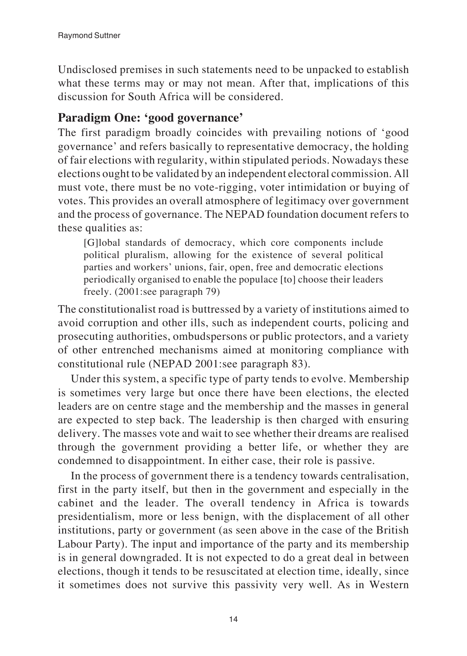Undisclosed premises in such statements need to be unpacked to establish what these terms may or may not mean. After that, implications of this discussion for South Africa will be considered.

## Paradigm One: 'good governance'

The first paradigm broadly coincides with prevailing notions of ëgood governance' and refers basically to representative democracy, the holding of fair elections with regularity, within stipulated periods. Nowadays these elections ought to be validated by an independent electoral commission. All must vote, there must be no vote-rigging, voter intimidation or buying of votes. This provides an overall atmosphere of legitimacy over government and the process of governance. The NEPAD foundation document refers to these qualities as:

[G]lobal standards of democracy, which core components include political pluralism, allowing for the existence of several political parties and workers' unions, fair, open, free and democratic elections periodically organised to enable the populace [to] choose their leaders freely. (2001:see paragraph 79)

The constitutionalist road is buttressed by a variety of institutions aimed to avoid corruption and other ills, such as independent courts, policing and prosecuting authorities, ombudspersons or public protectors, and a variety of other entrenched mechanisms aimed at monitoring compliance with constitutional rule (NEPAD 2001:see paragraph 83).

Under this system, a specific type of party tends to evolve. Membership is sometimes very large but once there have been elections, the elected leaders are on centre stage and the membership and the masses in general are expected to step back. The leadership is then charged with ensuring delivery. The masses vote and wait to see whether their dreams are realised through the government providing a better life, or whether they are condemned to disappointment. In either case, their role is passive.

In the process of government there is a tendency towards centralisation, first in the party itself, but then in the government and especially in the cabinet and the leader. The overall tendency in Africa is towards presidentialism, more or less benign, with the displacement of all other institutions, party or government (as seen above in the case of the British Labour Party). The input and importance of the party and its membership is in general downgraded. It is not expected to do a great deal in between elections, though it tends to be resuscitated at election time, ideally, since it sometimes does not survive this passivity very well. As in Western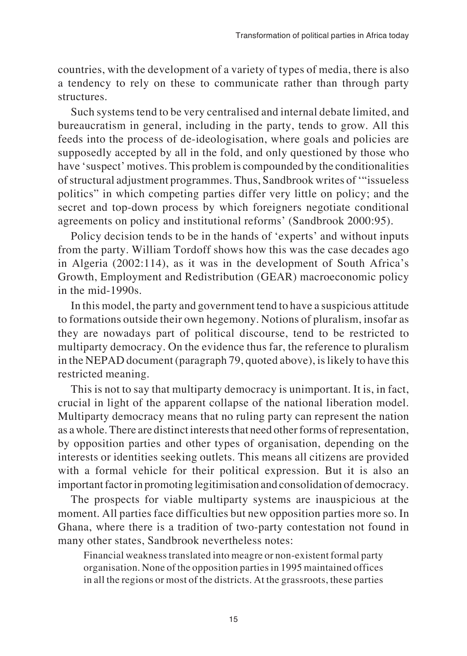countries, with the development of a variety of types of media, there is also a tendency to rely on these to communicate rather than through party structures.

Such systems tend to be very centralised and internal debate limited, and bureaucratism in general, including in the party, tends to grow. All this feeds into the process of de-ideologisation, where goals and policies are supposedly accepted by all in the fold, and only questioned by those who have 'suspect' motives. This problem is compounded by the conditionalities of structural adjustment programmes. Thus, Sandbrook writes of "issueless" politics" in which competing parties differ very little on policy; and the secret and top-down process by which foreigners negotiate conditional agreements on policy and institutional reforms' (Sandbrook 2000:95).

Policy decision tends to be in the hands of 'experts' and without inputs from the party. William Tordoff shows how this was the case decades ago in Algeria (2002:114), as it was in the development of South Africa's Growth, Employment and Redistribution (GEAR) macroeconomic policy in the mid-1990s.

In this model, the party and government tend to have a suspicious attitude to formations outside their own hegemony. Notions of pluralism, insofar as they are nowadays part of political discourse, tend to be restricted to multiparty democracy. On the evidence thus far, the reference to pluralism in the NEPAD document (paragraph 79, quoted above), is likely to have this restricted meaning.

This is not to say that multiparty democracy is unimportant. It is, in fact, crucial in light of the apparent collapse of the national liberation model. Multiparty democracy means that no ruling party can represent the nation as a whole. There are distinct interests that need other forms of representation, by opposition parties and other types of organisation, depending on the interests or identities seeking outlets. This means all citizens are provided with a formal vehicle for their political expression. But it is also an important factor in promoting legitimisation and consolidation of democracy.

The prospects for viable multiparty systems are inauspicious at the moment. All parties face difficulties but new opposition parties more so. In Ghana, where there is a tradition of two-party contestation not found in many other states, Sandbrook nevertheless notes:

Financial weakness translated into meagre or non-existent formal party organisation. None of the opposition parties in 1995 maintained offices in all the regions or most of the districts. At the grassroots, these parties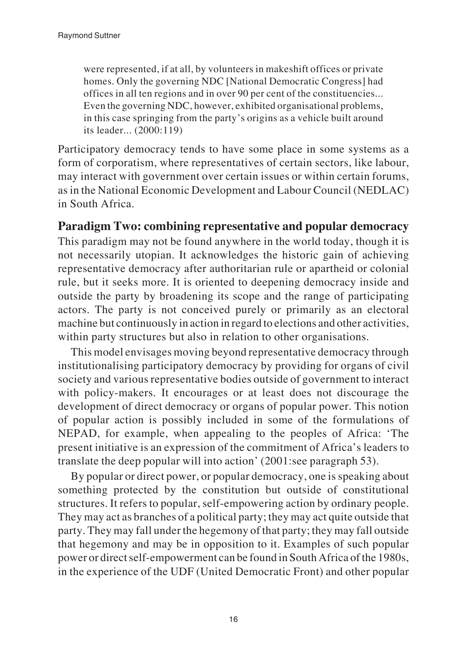were represented, if at all, by volunteers in makeshift offices or private homes. Only the governing NDC [National Democratic Congress] had offices in all ten regions and in over 90 per cent of the constituencies... Even the governing NDC, however, exhibited organisational problems, in this case springing from the party's origins as a vehicle built around its leader... (2000:119)

Participatory democracy tends to have some place in some systems as a form of corporatism, where representatives of certain sectors, like labour, may interact with government over certain issues or within certain forums, as in the National Economic Development and Labour Council (NEDLAC) in South Africa.

## **Paradigm Two: combining representative and popular democracy**

This paradigm may not be found anywhere in the world today, though it is not necessarily utopian. It acknowledges the historic gain of achieving representative democracy after authoritarian rule or apartheid or colonial rule, but it seeks more. It is oriented to deepening democracy inside and outside the party by broadening its scope and the range of participating actors. The party is not conceived purely or primarily as an electoral machine but continuously in action in regard to elections and other activities, within party structures but also in relation to other organisations.

This model envisages moving beyond representative democracy through institutionalising participatory democracy by providing for organs of civil society and various representative bodies outside of government to interact with policy-makers. It encourages or at least does not discourage the development of direct democracy or organs of popular power. This notion of popular action is possibly included in some of the formulations of NEPAD, for example, when appealing to the peoples of Africa: 'The present initiative is an expression of the commitment of Africa's leaders to translate the deep popular will into action' (2001:see paragraph 53).

By popular or direct power, or popular democracy, one is speaking about something protected by the constitution but outside of constitutional structures. It refers to popular, self-empowering action by ordinary people. They may act as branches of a political party; they may act quite outside that party. They may fall under the hegemony of that party; they may fall outside that hegemony and may be in opposition to it. Examples of such popular power or direct self-empowerment can be found in South Africa of the 1980s, in the experience of the UDF (United Democratic Front) and other popular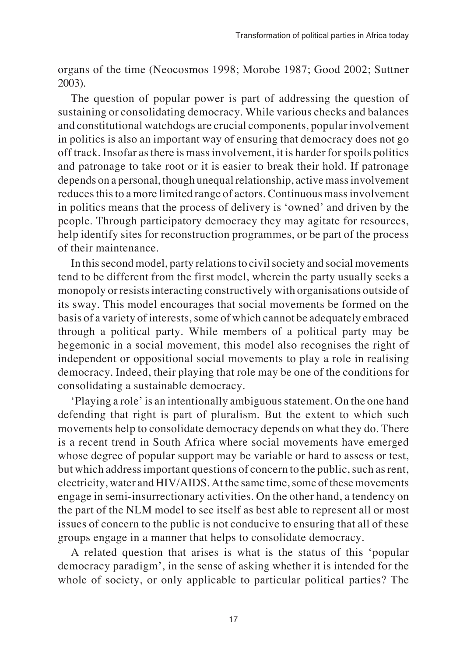organs of the time (Neocosmos 1998; Morobe 1987; Good 2002; Suttner 2003).

The question of popular power is part of addressing the question of sustaining or consolidating democracy. While various checks and balances and constitutional watchdogs are crucial components, popular involvement in politics is also an important way of ensuring that democracy does not go off track. Insofar as there is mass involvement, it is harder for spoils politics and patronage to take root or it is easier to break their hold. If patronage depends on a personal, though unequal relationship, active mass involvement reduces this to a more limited range of actors. Continuous mass involvement in politics means that the process of delivery is 'owned' and driven by the people. Through participatory democracy they may agitate for resources, help identify sites for reconstruction programmes, or be part of the process of their maintenance.

In this second model, party relations to civil society and social movements tend to be different from the first model, wherein the party usually seeks a monopoly or resists interacting constructively with organisations outside of its sway. This model encourages that social movements be formed on the basis of a variety of interests, some of which cannot be adequately embraced through a political party. While members of a political party may be hegemonic in a social movement, this model also recognises the right of independent or oppositional social movements to play a role in realising democracy. Indeed, their playing that role may be one of the conditions for consolidating a sustainable democracy.

'Playing a role' is an intentionally ambiguous statement. On the one hand defending that right is part of pluralism. But the extent to which such movements help to consolidate democracy depends on what they do. There is a recent trend in South Africa where social movements have emerged whose degree of popular support may be variable or hard to assess or test, but which address important questions of concern to the public, such as rent, electricity, water and HIV/AIDS. At the same time, some of these movements engage in semi-insurrectionary activities. On the other hand, a tendency on the part of the NLM model to see itself as best able to represent all or most issues of concern to the public is not conducive to ensuring that all of these groups engage in a manner that helps to consolidate democracy.

A related question that arises is what is the status of this ëpopular democracy paradigm', in the sense of asking whether it is intended for the whole of society, or only applicable to particular political parties? The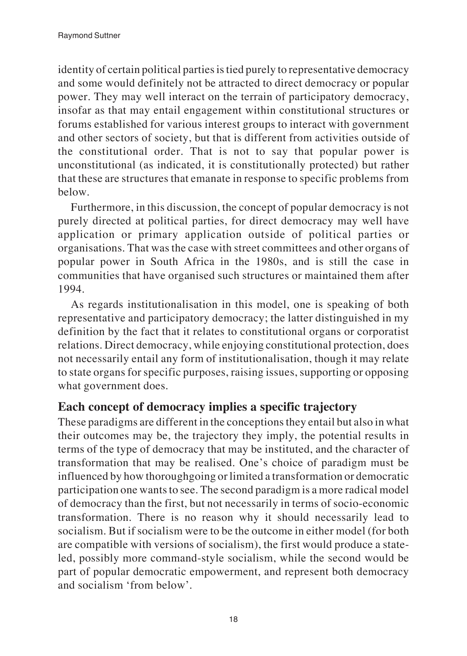identity of certain political parties is tied purely to representative democracy and some would definitely not be attracted to direct democracy or popular power. They may well interact on the terrain of participatory democracy, insofar as that may entail engagement within constitutional structures or forums established for various interest groups to interact with government and other sectors of society, but that is different from activities outside of the constitutional order. That is not to say that popular power is unconstitutional (as indicated, it is constitutionally protected) but rather that these are structures that emanate in response to specific problems from below.

Furthermore, in this discussion, the concept of popular democracy is not purely directed at political parties, for direct democracy may well have application or primary application outside of political parties or organisations. That was the case with street committees and other organs of popular power in South Africa in the 1980s, and is still the case in communities that have organised such structures or maintained them after 1994.

As regards institutionalisation in this model, one is speaking of both representative and participatory democracy; the latter distinguished in my definition by the fact that it relates to constitutional organs or corporatist relations. Direct democracy, while enjoying constitutional protection, does not necessarily entail any form of institutionalisation, though it may relate to state organs for specific purposes, raising issues, supporting or opposing what government does.

### **Each concept of democracy implies a specific trajectory**

These paradigms are different in the conceptions they entail but also in what their outcomes may be, the trajectory they imply, the potential results in terms of the type of democracy that may be instituted, and the character of transformation that may be realised. One's choice of paradigm must be influenced by how thoroughgoing or limited a transformation or democratic participation one wants to see. The second paradigm is a more radical model of democracy than the first, but not necessarily in terms of socio-economic transformation. There is no reason why it should necessarily lead to socialism. But if socialism were to be the outcome in either model (for both are compatible with versions of socialism), the first would produce a stateled, possibly more command-style socialism, while the second would be part of popular democratic empowerment, and represent both democracy and socialism 'from below'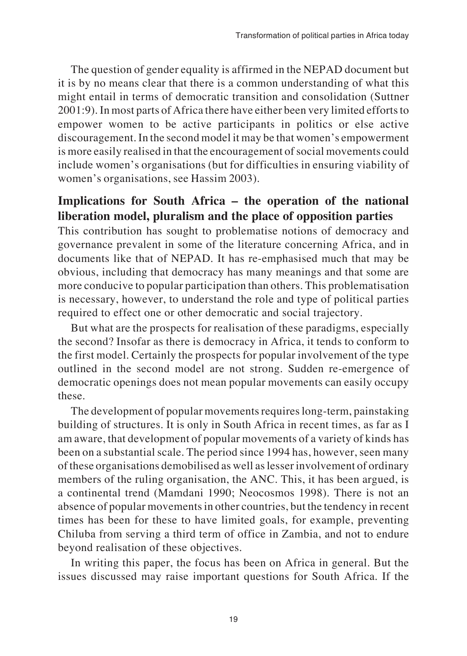The question of gender equality is affirmed in the NEPAD document but it is by no means clear that there is a common understanding of what this might entail in terms of democratic transition and consolidation (Suttner 2001:9). In most parts of Africa there have either been very limited efforts to empower women to be active participants in politics or else active discouragement. In the second model it may be that women's empowerment is more easily realised in that the encouragement of social movements could include women's organisations (but for difficulties in ensuring viability of women's organisations, see Hassim 2003).

## Implications for South Africa – the operation of the national **liberation model, pluralism and the place of opposition parties**

This contribution has sought to problematise notions of democracy and governance prevalent in some of the literature concerning Africa, and in documents like that of NEPAD. It has re-emphasised much that may be obvious, including that democracy has many meanings and that some are more conducive to popular participation than others. This problematisation is necessary, however, to understand the role and type of political parties required to effect one or other democratic and social trajectory.

But what are the prospects for realisation of these paradigms, especially the second? Insofar as there is democracy in Africa, it tends to conform to the first model. Certainly the prospects for popular involvement of the type outlined in the second model are not strong. Sudden re-emergence of democratic openings does not mean popular movements can easily occupy these.

The development of popular movements requires long-term, painstaking building of structures. It is only in South Africa in recent times, as far as I am aware, that development of popular movements of a variety of kinds has been on a substantial scale. The period since 1994 has, however, seen many of these organisations demobilised as well as lesser involvement of ordinary members of the ruling organisation, the ANC. This, it has been argued, is a continental trend (Mamdani 1990; Neocosmos 1998). There is not an absence of popular movements in other countries, but the tendency in recent times has been for these to have limited goals, for example, preventing Chiluba from serving a third term of office in Zambia, and not to endure beyond realisation of these objectives.

In writing this paper, the focus has been on Africa in general. But the issues discussed may raise important questions for South Africa. If the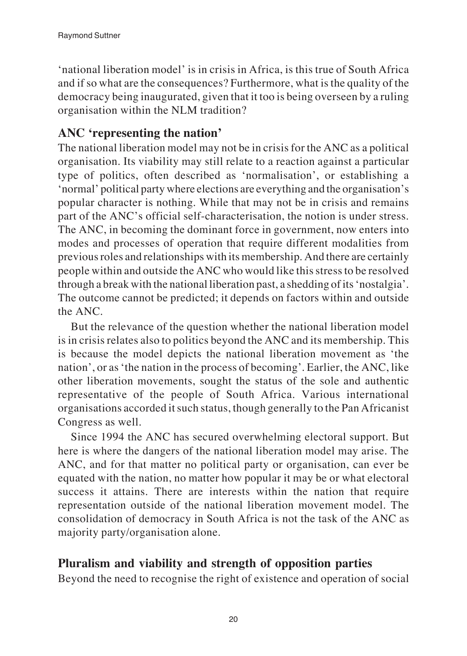ënational liberation modelí is in crisis in Africa, is this true of South Africa and if so what are the consequences? Furthermore, what is the quality of the democracy being inaugurated, given that it too is being overseen by a ruling organisation within the NLM tradition?

## **ANC** 'representing the nation'

The national liberation model may not be in crisis for the ANC as a political organisation. Its viability may still relate to a reaction against a particular type of politics, often described as 'normalisation', or establishing a 'normal' political party where elections are everything and the organisation's popular character is nothing. While that may not be in crisis and remains part of the ANC's official self-characterisation, the notion is under stress. The ANC, in becoming the dominant force in government, now enters into modes and processes of operation that require different modalities from previous roles and relationships with its membership. And there are certainly people within and outside the ANC who would like this stress to be resolved through a break with the national liberation past, a shedding of its 'nostalgia'. The outcome cannot be predicted; it depends on factors within and outside the ANC.

But the relevance of the question whether the national liberation model is in crisis relates also to politics beyond the ANC and its membership. This is because the model depicts the national liberation movement as 'the nation', or as 'the nation in the process of becoming'. Earlier, the ANC, like other liberation movements, sought the status of the sole and authentic representative of the people of South Africa. Various international organisations accorded it such status, though generally to the Pan Africanist Congress as well.

Since 1994 the ANC has secured overwhelming electoral support. But here is where the dangers of the national liberation model may arise. The ANC, and for that matter no political party or organisation, can ever be equated with the nation, no matter how popular it may be or what electoral success it attains. There are interests within the nation that require representation outside of the national liberation movement model. The consolidation of democracy in South Africa is not the task of the ANC as majority party/organisation alone.

## **Pluralism and viability and strength of opposition parties**

Beyond the need to recognise the right of existence and operation of social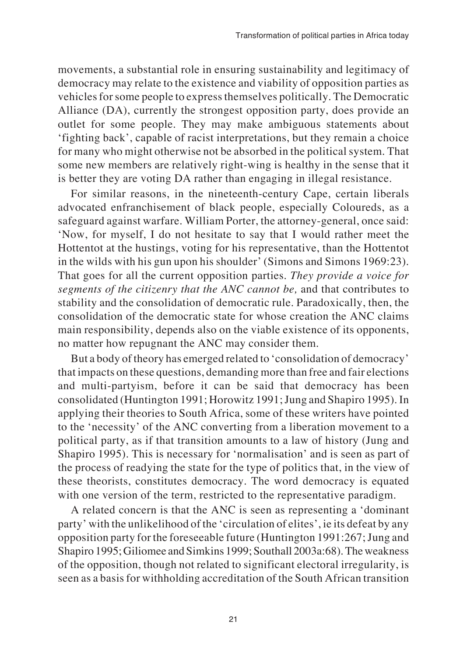movements, a substantial role in ensuring sustainability and legitimacy of democracy may relate to the existence and viability of opposition parties as vehicles for some people to express themselves politically. The Democratic Alliance (DA), currently the strongest opposition party, does provide an outlet for some people. They may make ambiguous statements about 'fighting back', capable of racist interpretations, but they remain a choice for many who might otherwise not be absorbed in the political system. That some new members are relatively right-wing is healthy in the sense that it is better they are voting DA rather than engaging in illegal resistance.

For similar reasons, in the nineteenth-century Cape, certain liberals advocated enfranchisement of black people, especially Coloureds, as a safeguard against warfare. William Porter, the attorney-general, once said: 'Now, for myself, I do not hesitate to say that I would rather meet the Hottentot at the hustings, voting for his representative, than the Hottentot in the wilds with his gun upon his shoulder' (Simons and Simons 1969:23). That goes for all the current opposition parties. *They provide a voice for segments of the citizenry that the ANC cannot be,* and that contributes to stability and the consolidation of democratic rule. Paradoxically, then, the consolidation of the democratic state for whose creation the ANC claims main responsibility, depends also on the viable existence of its opponents, no matter how repugnant the ANC may consider them.

But a body of theory has emerged related to 'consolidation of democracy' that impacts on these questions, demanding more than free and fair elections and multi-partyism, before it can be said that democracy has been consolidated (Huntington 1991; Horowitz 1991; Jung and Shapiro 1995). In applying their theories to South Africa, some of these writers have pointed to the 'necessity' of the ANC converting from a liberation movement to a political party, as if that transition amounts to a law of history (Jung and Shapiro 1995). This is necessary for 'normalisation' and is seen as part of the process of readying the state for the type of politics that, in the view of these theorists, constitutes democracy. The word democracy is equated with one version of the term, restricted to the representative paradigm.

A related concern is that the ANC is seen as representing a 'dominant party' with the unlikelihood of the 'circulation of elites', ie its defeat by any opposition party for the foreseeable future (Huntington 1991:267; Jung and Shapiro 1995; Giliomee and Simkins 1999; Southall 2003a:68). The weakness of the opposition, though not related to significant electoral irregularity, is seen as a basis for withholding accreditation of the South African transition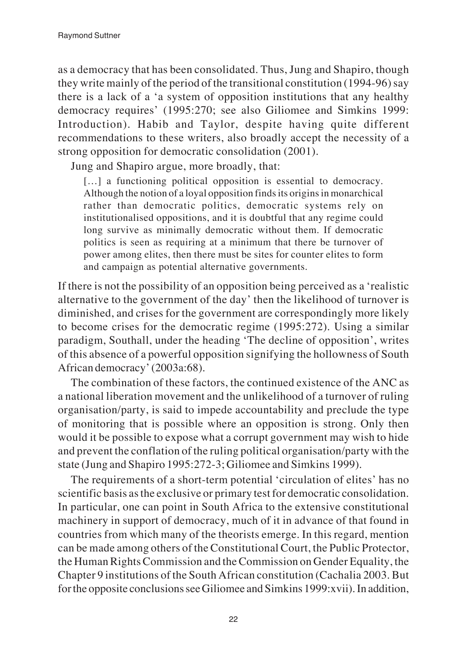as a democracy that has been consolidated. Thus, Jung and Shapiro, though they write mainly of the period of the transitional constitution (1994-96) say there is a lack of a ëa system of opposition institutions that any healthy democracy requires' (1995:270; see also Giliomee and Simkins 1999: Introduction). Habib and Taylor, despite having quite different recommendations to these writers, also broadly accept the necessity of a strong opposition for democratic consolidation (2001).

Jung and Shapiro argue, more broadly, that:

[...] a functioning political opposition is essential to democracy. Although the notion of a loyal opposition finds its origins in monarchical rather than democratic politics, democratic systems rely on institutionalised oppositions, and it is doubtful that any regime could long survive as minimally democratic without them. If democratic politics is seen as requiring at a minimum that there be turnover of power among elites, then there must be sites for counter elites to form and campaign as potential alternative governments.

If there is not the possibility of an opposition being perceived as a 'realistic alternative to the government of the day' then the likelihood of turnover is diminished, and crises for the government are correspondingly more likely to become crises for the democratic regime (1995:272). Using a similar paradigm, Southall, under the heading 'The decline of opposition', writes of this absence of a powerful opposition signifying the hollowness of South African democracy' (2003a:68).

The combination of these factors, the continued existence of the ANC as a national liberation movement and the unlikelihood of a turnover of ruling organisation/party, is said to impede accountability and preclude the type of monitoring that is possible where an opposition is strong. Only then would it be possible to expose what a corrupt government may wish to hide and prevent the conflation of the ruling political organisation/party with the state (Jung and Shapiro 1995:272-3; Giliomee and Simkins 1999).

The requirements of a short-term potential 'circulation of elites' has no scientific basis as the exclusive or primary test for democratic consolidation. In particular, one can point in South Africa to the extensive constitutional machinery in support of democracy, much of it in advance of that found in countries from which many of the theorists emerge. In this regard, mention can be made among others of the Constitutional Court, the Public Protector, the Human Rights Commission and the Commission on Gender Equality, the Chapter 9 institutions of the South African constitution (Cachalia 2003. But for the opposite conclusions see Giliomee and Simkins 1999:xvii). In addition,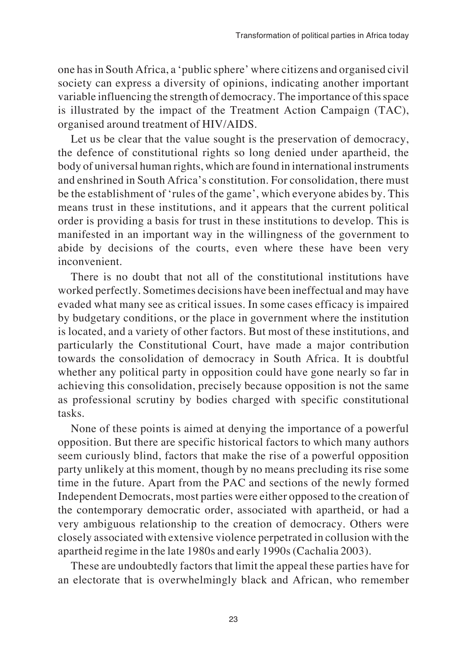one has in South Africa, a 'public sphere' where citizens and organised civil society can express a diversity of opinions, indicating another important variable influencing the strength of democracy. The importance of this space is illustrated by the impact of the Treatment Action Campaign (TAC), organised around treatment of HIV/AIDS.

Let us be clear that the value sought is the preservation of democracy, the defence of constitutional rights so long denied under apartheid, the body of universal human rights, which are found in international instruments and enshrined in South Africa's constitution. For consolidation, there must be the establishment of 'rules of the game', which everyone abides by. This means trust in these institutions, and it appears that the current political order is providing a basis for trust in these institutions to develop. This is manifested in an important way in the willingness of the government to abide by decisions of the courts, even where these have been very inconvenient.

There is no doubt that not all of the constitutional institutions have worked perfectly. Sometimes decisions have been ineffectual and may have evaded what many see as critical issues. In some cases efficacy is impaired by budgetary conditions, or the place in government where the institution is located, and a variety of other factors. But most of these institutions, and particularly the Constitutional Court, have made a major contribution towards the consolidation of democracy in South Africa. It is doubtful whether any political party in opposition could have gone nearly so far in achieving this consolidation, precisely because opposition is not the same as professional scrutiny by bodies charged with specific constitutional tasks.

None of these points is aimed at denying the importance of a powerful opposition. But there are specific historical factors to which many authors seem curiously blind, factors that make the rise of a powerful opposition party unlikely at this moment, though by no means precluding its rise some time in the future. Apart from the PAC and sections of the newly formed Independent Democrats, most parties were either opposed to the creation of the contemporary democratic order, associated with apartheid, or had a very ambiguous relationship to the creation of democracy. Others were closely associated with extensive violence perpetrated in collusion with the apartheid regime in the late 1980s and early 1990s (Cachalia 2003).

These are undoubtedly factors that limit the appeal these parties have for an electorate that is overwhelmingly black and African, who remember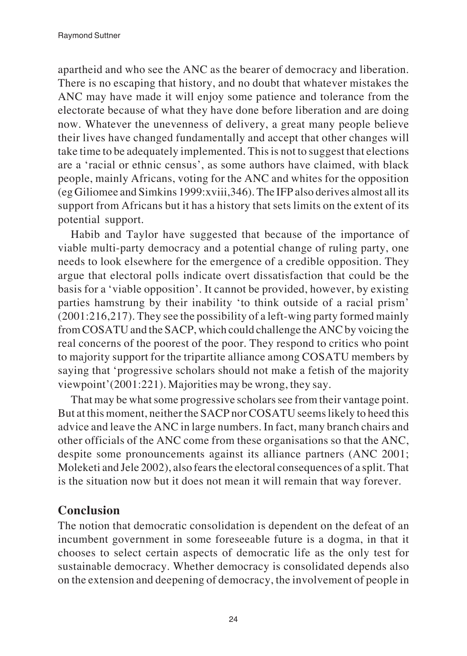apartheid and who see the ANC as the bearer of democracy and liberation. There is no escaping that history, and no doubt that whatever mistakes the ANC may have made it will enjoy some patience and tolerance from the electorate because of what they have done before liberation and are doing now. Whatever the unevenness of delivery, a great many people believe their lives have changed fundamentally and accept that other changes will take time to be adequately implemented. This is not to suggest that elections are a 'racial or ethnic census', as some authors have claimed, with black people, mainly Africans, voting for the ANC and whites for the opposition (eg Giliomee and Simkins 1999:xviii,346). The IFP also derives almost all its support from Africans but it has a history that sets limits on the extent of its potential support.

Habib and Taylor have suggested that because of the importance of viable multi-party democracy and a potential change of ruling party, one needs to look elsewhere for the emergence of a credible opposition. They argue that electoral polls indicate overt dissatisfaction that could be the basis for a 'viable opposition'. It cannot be provided, however, by existing parties hamstrung by their inability 'to think outside of a racial prism' (2001:216,217). They see the possibility of a left-wing party formed mainly from COSATU and the SACP, which could challenge the ANC by voicing the real concerns of the poorest of the poor. They respond to critics who point to majority support for the tripartite alliance among COSATU members by saying that 'progressive scholars should not make a fetish of the majority viewpoint' (2001:221). Majorities may be wrong, they say.

That may be what some progressive scholars see from their vantage point. But at this moment, neither the SACP nor COSATU seems likely to heed this advice and leave the ANC in large numbers. In fact, many branch chairs and other officials of the ANC come from these organisations so that the ANC, despite some pronouncements against its alliance partners (ANC 2001; Moleketi and Jele 2002), also fears the electoral consequences of a split. That is the situation now but it does not mean it will remain that way forever.

## **Conclusion**

The notion that democratic consolidation is dependent on the defeat of an incumbent government in some foreseeable future is a dogma, in that it chooses to select certain aspects of democratic life as the only test for sustainable democracy. Whether democracy is consolidated depends also on the extension and deepening of democracy, the involvement of people in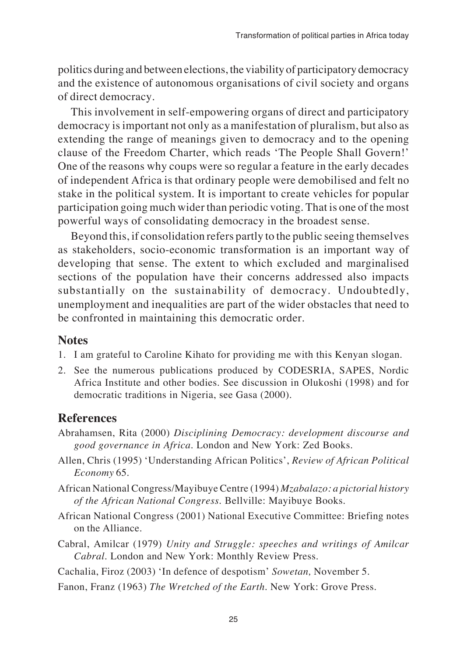politics during and between elections, the viability of participatory democracy and the existence of autonomous organisations of civil society and organs of direct democracy.

This involvement in self-empowering organs of direct and participatory democracy is important not only as a manifestation of pluralism, but also as extending the range of meanings given to democracy and to the opening clause of the Freedom Charter, which reads 'The People Shall Govern!' One of the reasons why coups were so regular a feature in the early decades of independent Africa is that ordinary people were demobilised and felt no stake in the political system. It is important to create vehicles for popular participation going much wider than periodic voting. That is one of the most powerful ways of consolidating democracy in the broadest sense.

Beyond this, if consolidation refers partly to the public seeing themselves as stakeholders, socio-economic transformation is an important way of developing that sense. The extent to which excluded and marginalised sections of the population have their concerns addressed also impacts substantially on the sustainability of democracy. Undoubtedly, unemployment and inequalities are part of the wider obstacles that need to be confronted in maintaining this democratic order.

#### **Notes**

- 1. I am grateful to Caroline Kihato for providing me with this Kenyan slogan.
- 2. See the numerous publications produced by CODESRIA, SAPES, Nordic Africa Institute and other bodies. See discussion in Olukoshi (1998) and for democratic traditions in Nigeria, see Gasa (2000).

#### **References**

- Abrahamsen, Rita (2000) *Disciplining Democracy: development discourse and good governance in Africa*. London and New York: Zed Books.
- Allen, Chris (1995) 'Understanding African Politics', *Review of African Political Economy* 65.
- African National Congress/Mayibuye Centre (1994) *Mzabalazo: a pictorial history of the African National Congress*. Bellville: Mayibuye Books.
- African National Congress (2001) National Executive Committee: Briefing notes on the Alliance.
- Cabral, Amilcar (1979) *Unity and Struggle: speeches and writings of Amilcar Cabral.* London and New York: Monthly Review Press.
- Cachalia, Firoz (2003) 'In defence of despotism' *Sowetan*, November 5.
- Fanon, Franz (1963) *The Wretched of the Earth.* New York: Grove Press.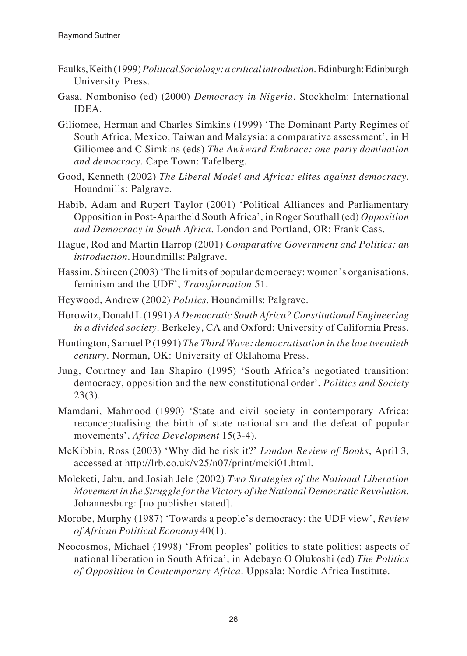- Faulks, Keith (1999) *Political Sociology: a critical introduction*. Edinburgh: Edinburgh University Press.
- Gasa, Nomboniso (ed) (2000) *Democracy in Nigeria*. Stockholm: International IDEA.
- Giliomee, Herman and Charles Simkins (1999) 'The Dominant Party Regimes of South Africa, Mexico, Taiwan and Malaysia: a comparative assessment', in H Giliomee and C Simkins (eds) *The Awkward Embrace: one-party domination and democracy*. Cape Town: Tafelberg.
- Good, Kenneth (2002) *The Liberal Model and Africa: elites against democracy*. Houndmills: Palgrave.
- Habib, Adam and Rupert Taylor (2001) 'Political Alliances and Parliamentary Opposition in Post-Apartheid South Africaí, in Roger Southall (ed) *Opposition and Democracy in South Africa*. London and Portland, OR: Frank Cass.
- Hague, Rod and Martin Harrop (2001) *Comparative Government and Politics: an introduction.* Houndmills: Palgrave.
- Hassim, Shireen (2003) 'The limits of popular democracy: women's organisations, feminism and the UDF', *Transformation* 51.
- Heywood, Andrew (2002) *Politics*. Houndmills: Palgrave.
- Horowitz, Donald L (1991) *A Democratic South Africa? Constitutional Engineering in a divided society.* Berkeley, CA and Oxford: University of California Press.
- Huntington, Samuel P (1991) *The Third Wave: democratisation in the late twentieth century.* Norman, OK: University of Oklahoma Press.
- Jung, Courtney and Ian Shapiro (1995) 'South Africa's negotiated transition: democracy, opposition and the new constitutional order', *Politics and Society* 23(3).
- Mamdani, Mahmood (1990) 'State and civil society in contemporary Africa: reconceptualising the birth of state nationalism and the defeat of popular movements', *Africa Development* 15(3-4).
- McKibbin, Ross (2003) 'Why did he risk it?' *London Review of Books*, April 3, accessed at http://lrb.co.uk/v25/n07/print/mcki01.html.
- Moleketi, Jabu, and Josiah Jele (2002) *Two Strategies of the National Liberation Movement in the Struggle for the Victory of the National Democratic Revolution*. Johannesburg: [no publisher stated].
- Morobe, Murphy (1987) 'Towards a people's democracy: the UDF view', *Review of African Political Economy* 40(1).
- Neocosmos, Michael (1998) 'From peoples' politics to state politics: aspects of national liberation in South Africa', in Adebayo O Olukoshi (ed) The Politics *of Opposition in Contemporary Africa*. Uppsala: Nordic Africa Institute.